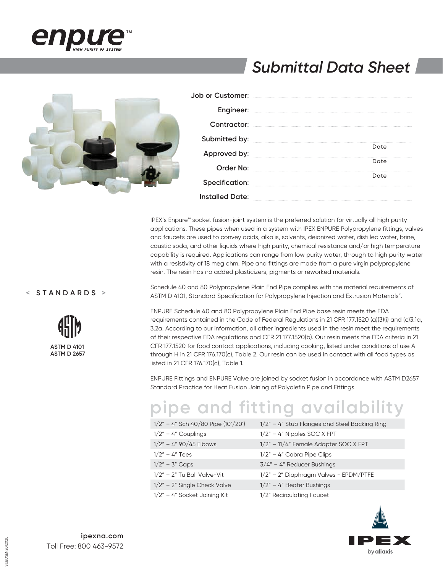

# *Submittal Data Sheet*



| Job or Customer:     |                            |
|----------------------|----------------------------|
|                      | Engineer: www.watarana.com |
|                      |                            |
| <b>Submitted by:</b> |                            |
| Approved by:         | Date                       |
| Order No:            | Date                       |
| Specification:       | Date                       |
| Installed Date:      |                            |

IPEX's Enpure™ socket fusion-joint system is the preferred solution for virtually all high purity applications. These pipes when used in a system with IPEX ENPURE Polypropylene fittings, valves and faucets are used to convey acids, alkalis, solvents, deionized water, distilled water, brine, caustic soda, and other liquids where high purity, chemical resistance and/or high temperature capability is required. Applications can range from low purity water, through to high purity water with a resistivity of 18 meg ohm. Pipe and fittings are made from a pure virgin polypropylene resin. The resin has no added plasticizers, pigments or reworked materials.

#### **< STANDARDS >**



Schedule 40 and 80 Polypropylene Plain End Pipe complies with the material requirements of ASTM D 4101, Standard Specification for Polypropylene Injection and Extrusion Materials".

ENPURE Schedule 40 and 80 Polypropylene Plain End Pipe base resin meets the FDA requirements contained in the Code of Federal Regulations in 21 CFR 177.1520 (a)(3)(i) and (c)3.1a, 3.2a. According to our information, all other ingredients used in the resin meet the requirements of their respective FDA regulations and CFR 21 177.1520(b). Our resin meets the FDA criteria in 21 CFR 177.1520 for food contact applications, including cooking, listed under conditions of use A through H in 21 CFR 176.170(c), Table 2. Our resin can be used in contact with all food types as listed in 21 CFR 176.170(c), Table 1.

ENPURE Fittings and ENPURE Valve are joined by socket fusion in accordance with ASTM D2657 Standard Practice for Heat Fusion Joining of Polyolefin Pipe and Fittings.

# **pipe and fitting availability**

| $1/2" - 4"$ Sch 40/80 Pipe (10'/20') | $1/2"$ – 4" Stub Flanges and Steel Backing Ring |
|--------------------------------------|-------------------------------------------------|
| $1/2" - 4"$ Couplings                | $1/2"$ – 4" Nipples SOC X FPT                   |
| $1/2" - 4" 90/45$ Elbows             | 1/2" - 11/4" Female Adapter SOC X FPT           |
| $1/2" - 4"$ Tees                     | $1/2" - 4"$ Cobra Pipe Clips                    |
| $1/2" - 3" \text{ Caps}$             | $3/4" - 4"$ Reducer Bushings                    |
| $1/2"$ - 2" Tu Ball Valve-Vit        | $1/2"$ – 2" Diaphragm Valves - EPDM/PTFE        |
| $1/2"$ – 2" Single Check Valve       | $1/2" - 4"$ Heater Bushings                     |
| 1/2" - 4" Socket Joining Kit         | 1/2" Recirculating Faucet                       |



SUBDSEN201202U

SUBDSEN201202U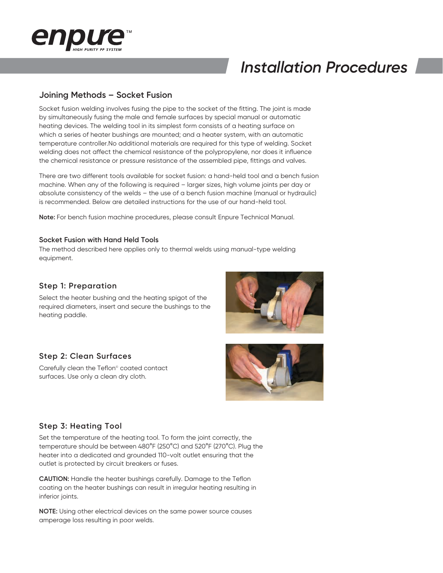

# **Joining Methods – Socket Fusion**

Socket fusion welding involves fusing the pipe to the socket of the fitting. The joint is made by simultaneously fusing the male and female surfaces by special manual or automatic heating devices. The welding tool in its simplest form consists of a heating surface on which a series of heater bushings are mounted; and a heater system, with an automatic temperature controller.No additional materials are required for this type of welding. Socket welding does not affect the chemical resistance of the polypropylene, nor does it influence the chemical resistance or pressure resistance of the assembled pipe, fittings and valves.

There are two different tools available for socket fusion: a hand-held tool and a bench fusion machine. When any of the following is required – larger sizes, high volume joints per day or absolute consistency of the welds – the use of a bench fusion machine (manual or hydraulic) is recommended. Below are detailed instructions for the use of our hand-held tool.

**Note:** For bench fusion machine procedures, please consult Enpure Technical Manual.

#### **Socket Fusion with Hand Held Tools**

The method described here applies only to thermal welds using manual-type welding equipment.

#### **Step 1: Preparation**

Select the heater bushing and the heating spigot of the required diameters, insert and secure the bushings to the heating paddle.

### **Step 2: Clean Surfaces**

Carefully clean the Teflon<sup>®</sup> coated contact surfaces. Use only a clean dry cloth.





# **Step 3: Heating Tool**

Set the temperature of the heating tool. To form the joint correctly, the temperature should be between 480°F (250°C) and 520°F (270°C). Plug the heater into a dedicated and grounded 110-volt outlet ensuring that the outlet is protected by circuit breakers or fuses.

**CAUTION:** Handle the heater bushings carefully. Damage to the Teflon coating on the heater bushings can result in irregular heating resulting in inferior joints.

**NOTE:** Using other electrical devices on the same power source causes amperage loss resulting in poor welds.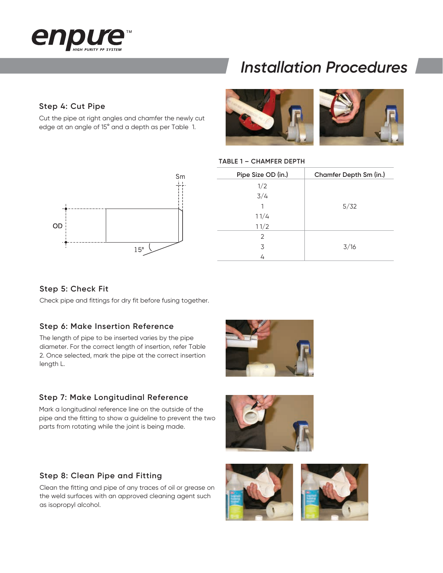

# **Step 4: Cut Pipe**

Cut the pipe at right angles and chamfer the newly cut edge at an angle of 15° and a depth as per Table 1.





#### **TABLE 1 – CHAMFER DEPTH**

| Pipe Size OD (in.) | Chamfer Depth Sm (in.) |  |  |
|--------------------|------------------------|--|--|
| 1/2                |                        |  |  |
| 3/4                |                        |  |  |
| 1                  | 5/32                   |  |  |
| 11/4               |                        |  |  |
| 11/2               |                        |  |  |
| 2                  |                        |  |  |
| 3                  | 3/16                   |  |  |
| 4                  |                        |  |  |

### **Step 5: Check Fit**

Check pipe and fittings for dry fit before fusing together.

### **Step 6: Make Insertion Reference**

The length of pipe to be inserted varies by the pipe diameter. For the correct length of insertion, refer Table 2. Once selected, mark the pipe at the correct insertion length L.



### **Step 7: Make Longitudinal Reference**

Mark a longitudinal reference line on the outside of the pipe and the fitting to show a guideline to prevent the two parts from rotating while the joint is being made.

# **Step 8: Clean Pipe and Fitting**

Clean the fitting and pipe of any traces of oil or grease on the weld surfaces with an approved cleaning agent such as isopropyl alcohol.



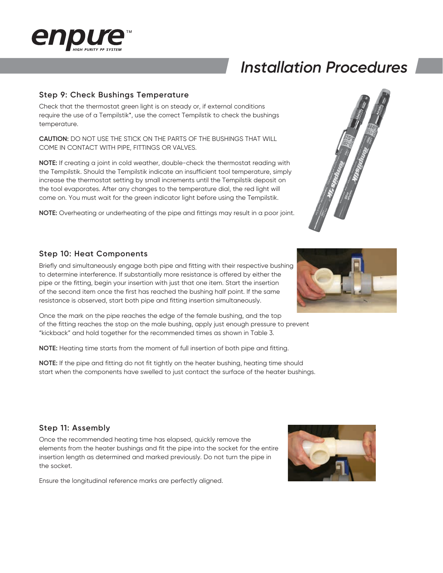

# **Step 9: Check Bushings Temperature**

Check that the thermostat green light is on steady or, if external conditions require the use of a Tempilstik\*, use the correct Tempilstik to check the bushings temperature.

**CAUTION:** DO NOT USE THE STICK ON THE PARTS OF THE BUSHINGS THAT WILL COME IN CONTACT WITH PIPE, FITTINGS OR VALVES.

**NOTE:** If creating a joint in cold weather, double-check the thermostat reading with the Tempilstik. Should the Tempilstik indicate an insufficient tool temperature, simply increase the thermostat setting by small increments until the Tempilstik deposit on the tool evaporates. After any changes to the temperature dial, the red light will come on. You must wait for the green indicator light before using the Tempilstik.

**NOTE:** Overheating or underheating of the pipe and fittings may result in a poor joint.



### **Step 10: Heat Components**

Briefly and simultaneously engage both pipe and fitting with their respective bushing to determine interference. If substantially more resistance is offered by either the pipe or the fitting, begin your insertion with just that one item. Start the insertion of the second item once the first has reached the bushing half point. If the same resistance is observed, start both pipe and fitting insertion simultaneously.

Once the mark on the pipe reaches the edge of the female bushing, and the top of the fitting reaches the stop on the male bushing, apply just enough pressure to prevent "kickback" and hold together for the recommended times as shown in Table 3.

**NOTE:** Heating time starts from the moment of full insertion of both pipe and fitting.

**NOTE:** If the pipe and fitting do not fit tightly on the heater bushing, heating time should start when the components have swelled to just contact the surface of the heater bushings.

# **Step 11: Assembly**

Once the recommended heating time has elapsed, quickly remove the elements from the heater bushings and fit the pipe into the socket for the entire insertion length as determined and marked previously. Do not turn the pipe in the socket.

Ensure the longitudinal reference marks are perfectly aligned.



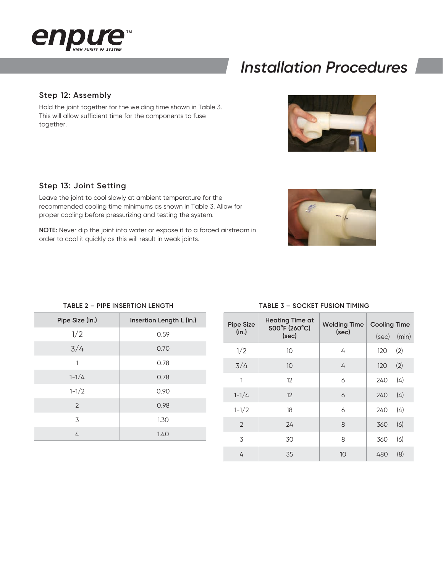

### **Step 12: Assembly**

Hold the joint together for the welding time shown in Table 3. This will allow sufficient time for the components to fuse together.

### **Step 13: Joint Setting**

Leave the joint to cool slowly at ambient temperature for the recommended cooling time minimums as shown in Table 3. Allow for proper cooling before pressurizing and testing the system.

**NOTE:** Never dip the joint into water or expose it to a forced airstream in order to cool it quickly as this will result in weak joints.

#### **TABLE 2 – PIPE INSERTION LENGTH**

| Pipe Size (in.) | Insertion Length L (in.) |  |  |
|-----------------|--------------------------|--|--|
| 1/2             | 0.59                     |  |  |
| 3/4             | 0.70                     |  |  |
| 1               | 0.78                     |  |  |
| $1 - 1/4$       | 0.78                     |  |  |
| $1 - 1/2$       | 0.90                     |  |  |
| 2               | 0.98                     |  |  |
| 3               | 1.30                     |  |  |
| 4               | 1.40                     |  |  |



#### **TABLE 3 – SOCKET FUSION TIMING**

| <b>Pipe Size</b> | <b>Heating Time at</b><br>500°F (260°C) | <b>Welding Time</b><br>(sec) | <b>Cooling Time</b> |       |
|------------------|-----------------------------------------|------------------------------|---------------------|-------|
|                  | (in.)<br>(sec)                          |                              | (sec)               | (min) |
| 1/2              | 10                                      | 4                            | 120                 | (2)   |
| 3/4              | 10                                      | 4                            | 120                 | (2)   |
| 1                | 12                                      | 6                            | 240                 | (4)   |
| $1 - 1/4$        | 12                                      | 6                            | 240                 | (4)   |
| $1 - 1/2$        | 18                                      | 6                            | 240                 | (4)   |
| 2                | 24                                      | 8                            | 360                 | (6)   |
| 3                | 30                                      | 8                            | 360                 | (6)   |
| 4                | 35                                      | 10                           | 480                 | (8)   |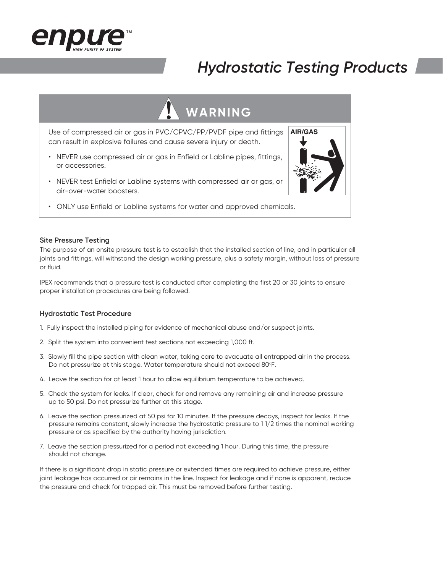

# *Hydrostatic Testing Products*

# **WARNING**

Use of compressed air or gas in PVC/CPVC/PP/PVDF pipe and fittings can result in explosive failures and cause severe injury or death.

- NEVER use compressed air or gas in Enfield or Labline pipes, fittings, or accessories.
- NEVER test Enfield or Labline systems with compressed air or gas, or air-over-water boosters.
- ONLY use Enfield or Labline systems for water and approved chemicals.

#### **Site Pressure Testing**

The purpose of an onsite pressure test is to establish that the installed section of line, and in particular all joints and fittings, will withstand the design working pressure, plus a safety margin, without loss of pressure or fluid.

IPEX recommends that a pressure test is conducted after completing the first 20 or 30 joints to ensure proper installation procedures are being followed.

#### **Hydrostatic Test Procedure**

- 1. Fully inspect the installed piping for evidence of mechanical abuse and/or suspect joints.
- 2. Split the system into convenient test sections not exceeding 1,000 ft.
- 3. Slowly fill the pipe section with clean water, taking care to evacuate all entrapped air in the process. Do not pressurize at this stage. Water temperature should not exceed 80°F.
- 4. Leave the section for at least 1 hour to allow equilibrium temperature to be achieved.
- 5. Check the system for leaks. If clear, check for and remove any remaining air and increase pressure up to 50 psi. Do not pressurize further at this stage.
- 6. Leave the section pressurized at 50 psi for 10 minutes. If the pressure decays, inspect for leaks. If the pressure remains constant, slowly increase the hydrostatic pressure to 1 1/2 times the nominal working pressure or as specified by the authority having jurisdiction.
- 7. Leave the section pressurized for a period not exceeding 1 hour. During this time, the pressure should not change.

If there is a significant drop in static pressure or extended times are required to achieve pressure, either joint leakage has occurred or air remains in the line. Inspect for leakage and if none is apparent, reduce the pressure and check for trapped air. This must be removed before further testing.

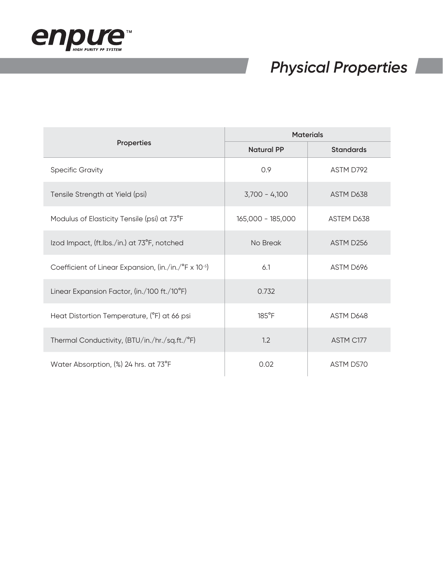

# *Physical Properties*

|                                                      | <b>Materials</b>  |                  |  |
|------------------------------------------------------|-------------------|------------------|--|
| <b>Properties</b>                                    | <b>Natural PP</b> | <b>Standards</b> |  |
| <b>Specific Gravity</b>                              | 0.9               | ASTM D792        |  |
| Tensile Strength at Yield (psi)                      | $3,700 - 4,100$   | ASTM D638        |  |
| Modulus of Elasticity Tensile (psi) at 73°F          | 165,000 - 185,000 | ASTEM D638       |  |
| Izod Impact, (ft.Ibs./in.) at 73°F, notched          | No Break          | ASTM D256        |  |
| Coefficient of Linear Expansion, (in./in./°F x 10-5) | 6.1               | ASTM D696        |  |
| Linear Expansion Factor, (in./100 ft./10°F)          | 0.732             |                  |  |
| Heat Distortion Temperature, (°F) at 66 psi          | $185^{\circ}$ F   | ASTM D648        |  |
| Thermal Conductivity, (BTU/in./hr./sq.ft./°F)        | 1.2               | ASTM C177        |  |
| Water Absorption, (%) 24 hrs. at 73°F                | 0.02              | ASTM D570        |  |